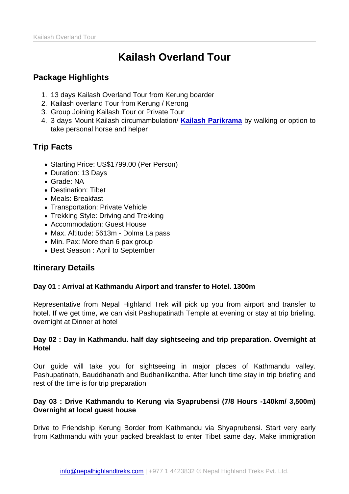# Kailash Overland Tour

# Package Highlights

- 1. 13 days Kailash Overland Tour from Kerung boarder
- 2. Kailash overland Tour from Kerung / Kerong
- 3. Group Joining Kailash Tour or Private Tour
- 4. 3 days Mount Kailash circumambulation/ Kailash Parikrama by walking or option to take personal horse and helper

# Trip Facts

- Starting Price: US\$1799.00 (Per Person)
- Duration: 13 Days
- Grade: NA
- Destination: Tibet
- Meals: Breakfast
- Transportation: Private Vehicle
- Trekking Style: Driving and Trekking
- Accommodation: Guest House
- Max. Altitude: 5613m Dolma La pass
- Min. Pax: More than 6 pax group
- Best Season : April to September

# Itinerary Details

Day 01 : Arrival at Kathmandu Airport and transfer to Hotel. 1300m

Representative from Nepal Highland Trek will pick up you from airport and transfer to hotel. If we get time, we can visit Pashupatinath Temple at evening or stay at trip briefing. overnight at Dinner at hotel

Day 02 : Day in Kathmandu. half day sightseeing and trip preparation. Overnight at Hotel

Our guide will take you for sightseeing in major places of Kathmandu valley. Pashupatinath, Bauddhanath and Budhanilkantha. After lunch time stay in trip briefing and rest of the time is for trip preparation

Day 03 : Drive Kathmandu to Kerung via Syaprubensi (7/8 Hours -140km/ 3,500m) Overnight at local guest house

Drive to Friendship Kerung Border from Kathmandu via Shyaprubensi. Start very early from Kathmandu with your packed breakfast to enter Tibet same day. Make immigration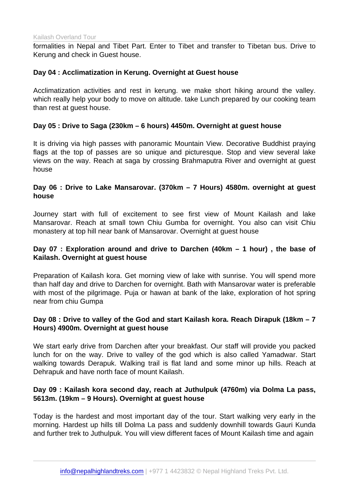formalities in Nepal and Tibet Part. Enter to Tibet and transfer to Tibetan bus. Drive to Kerung and check in Guest house.

Day 04 : Acclimatization in Kerung. Overnight at Guest house

Acclimatization activities and rest in kerung. we make short hiking around the valley. which really help your body to move on altitude. take Lunch prepared by our cooking team than rest at guest house.

Day 05 : Drive to Saga (230km – 6 hours) 4450m. Overnight at guest house

It is driving via high passes with panoramic Mountain View. Decorative Buddhist praying flags at the top of passes are so unique and picturesque. Stop and view several lake views on the way. Reach at saga by crossing Brahmaputra River and overnight at guest house

Day 06 : Drive to Lake Mansarovar. (370km – 7 Hours) 4580m. overnight at guest house

Journey start with full of excitement to see first view of Mount Kailash and lake Mansarovar. Reach at small town Chiu Gumba for overnight. You also can visit Chiu monastery at top hill near bank of Mansarovar. Overnight at guest house

Day 07 : Exploration around and drive to Darchen (40km – 1 hour) , the base of Kailash. Overnight at guest house

Preparation of Kailash kora. Get morning view of lake with sunrise. You will spend more than half day and drive to Darchen for overnight. Bath with Mansarovar water is preferable with most of the pilgrimage. Puja or hawan at bank of the lake, exploration of hot spring near from chiu Gumpa

Day 08 : Drive to valley of the God and start Kailash kora. Reach Dirapuk (18km – 7 Hours) 4900m. Overnight at guest house

We start early drive from Darchen after your breakfast. Our staff will provide you packed lunch for on the way. Drive to valley of the god which is also called Yamadwar. Start walking towards Derapuk. Walking trail is flat land and some minor up hills. Reach at Dehrapuk and have north face of mount Kailash.

Day 09 : Kailash kora second day, reach at Juthulpuk (4760m) via Dolma La pass, 5613m. (19km – 9 Hours). Overnight at guest house

Today is the hardest and most important day of the tour. Start walking very early in the morning. Hardest up hills till Dolma La pass and suddenly downhill towards Gauri Kunda and further trek to Juthulpuk. You will view different faces of Mount Kailash time and again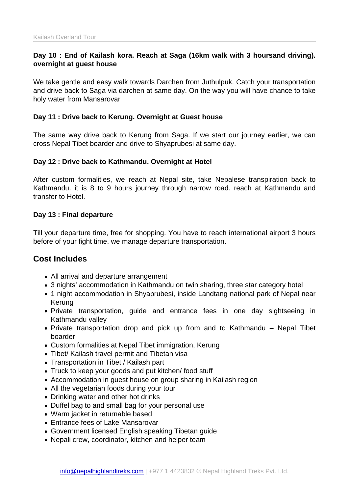Day 10 : End of Kailash kora. Reach at Saga (16km walk with 3 hoursand driving). overnight at guest house

We take gentle and easy walk towards Darchen from Juthulpuk. Catch your transportation and drive back to Saga via darchen at same day. On the way you will have chance to take holy water from Mansarovar

Day 11 : Drive back to Kerung. Overnight at Guest house

The same way drive back to Kerung from Saga. If we start our journey earlier, we can cross Nepal Tibet boarder and drive to Shyaprubesi at same day.

Day 12 : Drive back to Kathmandu. Overnight at Hotel

After custom formalities, we reach at Nepal site, take Nepalese transpiration back to Kathmandu. it is 8 to 9 hours journey through narrow road. reach at Kathmandu and transfer to Hotel.

Day 13 : Final departure

Till your departure time, free for shopping. You have to reach international airport 3 hours before of your fight time. we manage departure transportation.

## Cost Includes

- All arrival and departure arrangement
- 3 nights' accommodation in Kathmandu on twin sharing, three star category hotel
- 1 night accommodation in Shyaprubesi, inside Landtang national park of Nepal near Kerung
- Private transportation, guide and entrance fees in one day sightseeing in Kathmandu valley
- Private transportation drop and pick up from and to Kathmandu Nepal Tibet boarder
- Custom formalities at Nepal Tibet immigration, Kerung
- Tibet/ Kailash travel permit and Tibetan visa
- Transportation in Tibet / Kailash part
- Truck to keep your goods and put kitchen/ food stuff
- Accommodation in guest house on group sharing in Kailash region
- All the vegetarian foods during your tour
- Drinking water and other hot drinks
- Duffel bag to and small bag for your personal use
- Warm jacket in returnable based
- Entrance fees of Lake Mansarovar
- Government licensed English speaking Tibetan guide
- Nepali crew, coordinator, kitchen and helper team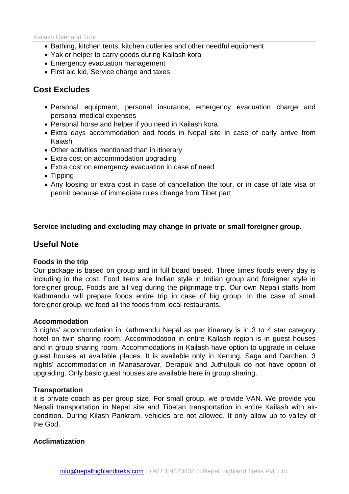Kailash Overland Tour

- Bathing, kitchen tents, kitchen cutleries and other needful equipment
- Yak or helper to carry goods during Kailash kora
- Emergency evacuation management
- First aid kid, Service charge and taxes

### Cost Excludes

- Personal equipment, personal insurance, emergency evacuation charge and personal medical expenses
- Personal horse and helper if you need in Kailash kora
- Extra days accommodation and foods in Nepal site in case of early arrive from Kaiash
- Other activities mentioned than in itinerary
- Extra cost on accommodation upgrading
- Extra cost on emergency evacuation in case of need
- Tipping
- Any loosing or extra cost in case of cancellation the tour, or in case of late visa or permit because of immediate rules change from Tibet part

Service including and excluding may change in private or small foreigner group.

### Useful Note

#### Foods in the trip

Our package is based on group and in full board based. Three times foods every day is including in the cost. Food items are Indian style in Indian group and foreigner style in foreigner group. Foods are all veg during the pilgrimage trip. Our own Nepali staffs from Kathmandu will prepare foods entire trip in case of big group. In the case of small foreigner group, we feed all the foods from local restaurants.

#### Accommodation

3 nights' accommodation in Kathmandu Nepal as per itinerary is in 3 to 4 star category hotel on twin sharing room. Accommodation in entire Kailash region is in guest houses and in group sharing room. Accommodations in Kailash have option to upgrade in deluxe guest houses at available places. It is available only in Kerung, Saga and Darchen. 3 nights' accommodation in Manasarovar, Derapuk and Juthulpuk do not have option of upgrading. Only basic guest houses are available here in group sharing.

#### **Transportation**

it is private coach as per group size. For small group, we provide VAN. We provide you Nepali transportation in Nepal site and Tibetan transportation in entire Kailash with aircondition. During Kilash Parikram, vehicles are not allowed. It only allow up to valley of the God.

#### Acclimatization